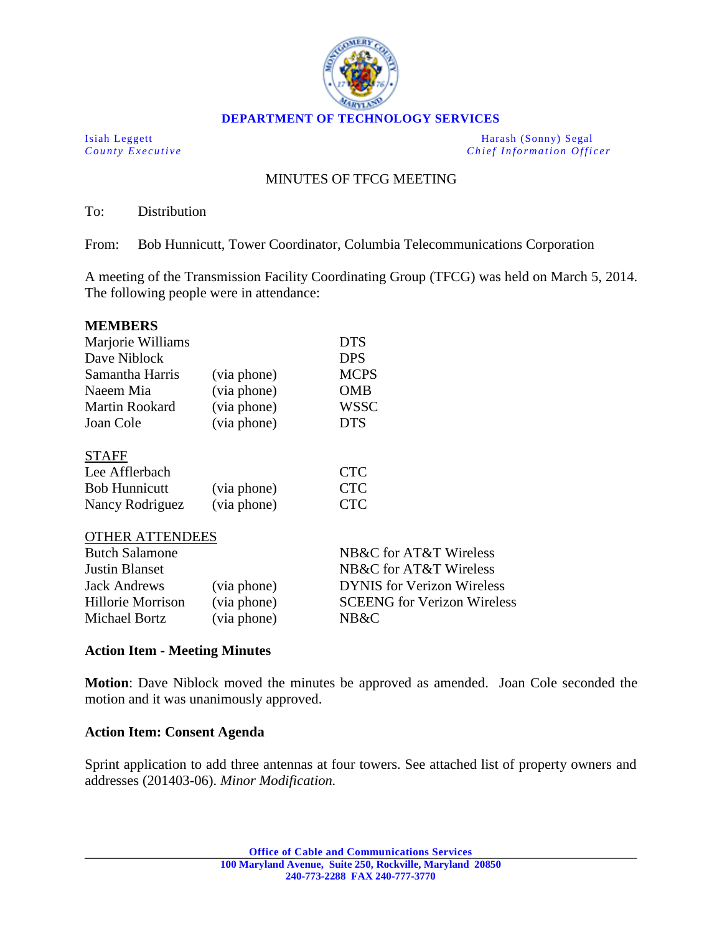

**DEPARTMENT OF TECHNOLOGY SERVICES**

Isiah Leggett Harash (Sonny) Segal<br>
County Executive Chief Information Office *Chief Information Officer* 

# MINUTES OF TFCG MEETING

To: Distribution

From: Bob Hunnicutt, Tower Coordinator, Columbia Telecommunications Corporation

A meeting of the Transmission Facility Coordinating Group (TFCG) was held on March 5, 2014. The following people were in attendance:

| <b>MEMBERS</b>        |             |             |
|-----------------------|-------------|-------------|
| Marjorie Williams     | <b>DTS</b>  |             |
| Dave Niblock          |             | <b>DPS</b>  |
| Samantha Harris       | (via phone) | <b>MCPS</b> |
| Naeem Mia             | (via phone) | <b>OMB</b>  |
| <b>Martin Rookard</b> | (via phone) | <b>WSSC</b> |
| Joan Cole             | (via phone) | <b>DTS</b>  |
| <b>STAFF</b>          |             |             |
| Lee Afflerbach        |             | <b>CTC</b>  |
| <b>Bob Hunnicutt</b>  | (via phone) | <b>CTC</b>  |
| Nancy Rodriguez       | (via phone) | CTC         |

### OTHER ATTENDEES

|             | NB&C for AT&T Wireless             |
|-------------|------------------------------------|
|             | NB&C for AT&T Wireless             |
| (via phone) | <b>DYNIS</b> for Verizon Wireless  |
| (via phone) | <b>SCEENG</b> for Verizon Wireless |
| (via phone) | NB&C                               |
|             |                                    |

## **Action Item - Meeting Minutes**

**Motion**: Dave Niblock moved the minutes be approved as amended. Joan Cole seconded the motion and it was unanimously approved.

## **Action Item: Consent Agenda**

Sprint application to add three antennas at four towers. See attached list of property owners and addresses (201403-06). *Minor Modification.*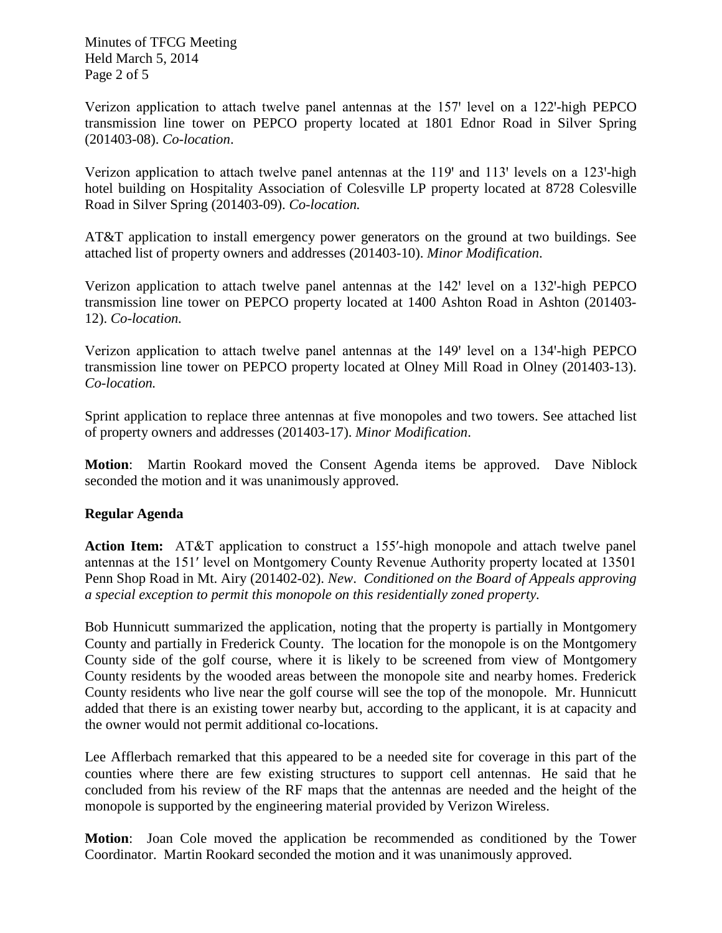Minutes of TFCG Meeting Held March 5, 2014 Page 2 of 5

Verizon application to attach twelve panel antennas at the  $157'$  level on a  $122'$ -high PEPCO transmission line tower on PEPCO property located at 1801 Ednor Road in Silver Spring (201403-08). *Co-location*.

Verizon application to attach twelve panel antennas at the  $119'$  and  $113'$  levels on a  $123'$ -high hotel building on Hospitality Association of Colesville LP property located at 8728 Colesville Road in Silver Spring (201403-09). *Co-location.*

AT&T application to install emergency power generators on the ground at two buildings. See attached list of property owners and addresses (201403-10). *Minor Modification*.

Verizon application to attach twelve panel antennas at the  $142'$  level on a  $132'$ -high PEPCO transmission line tower on PEPCO property located at 1400 Ashton Road in Ashton (201403- 12). *Co-location.*

Verizon application to attach twelve panel antennas at the 149' level on a 134'-high PEPCO transmission line tower on PEPCO property located at Olney Mill Road in Olney (201403-13). *Co-location.*

Sprint application to replace three antennas at five monopoles and two towers. See attached list of property owners and addresses (201403-17). *Minor Modification*.

**Motion**: Martin Rookard moved the Consent Agenda items be approved. Dave Niblock seconded the motion and it was unanimously approved.

## **Regular Agenda**

**Action Item:** AT&T application to construct a 155ʹ-high monopole and attach twelve panel antennas at the 151ʹ level on Montgomery County Revenue Authority property located at 13501 Penn Shop Road in Mt. Airy (201402-02). *New*. *Conditioned on the Board of Appeals approving a special exception to permit this monopole on this residentially zoned property.*

Bob Hunnicutt summarized the application, noting that the property is partially in Montgomery County and partially in Frederick County. The location for the monopole is on the Montgomery County side of the golf course, where it is likely to be screened from view of Montgomery County residents by the wooded areas between the monopole site and nearby homes. Frederick County residents who live near the golf course will see the top of the monopole. Mr. Hunnicutt added that there is an existing tower nearby but, according to the applicant, it is at capacity and the owner would not permit additional co-locations.

Lee Afflerbach remarked that this appeared to be a needed site for coverage in this part of the counties where there are few existing structures to support cell antennas. He said that he concluded from his review of the RF maps that the antennas are needed and the height of the monopole is supported by the engineering material provided by Verizon Wireless.

**Motion**: Joan Cole moved the application be recommended as conditioned by the Tower Coordinator. Martin Rookard seconded the motion and it was unanimously approved.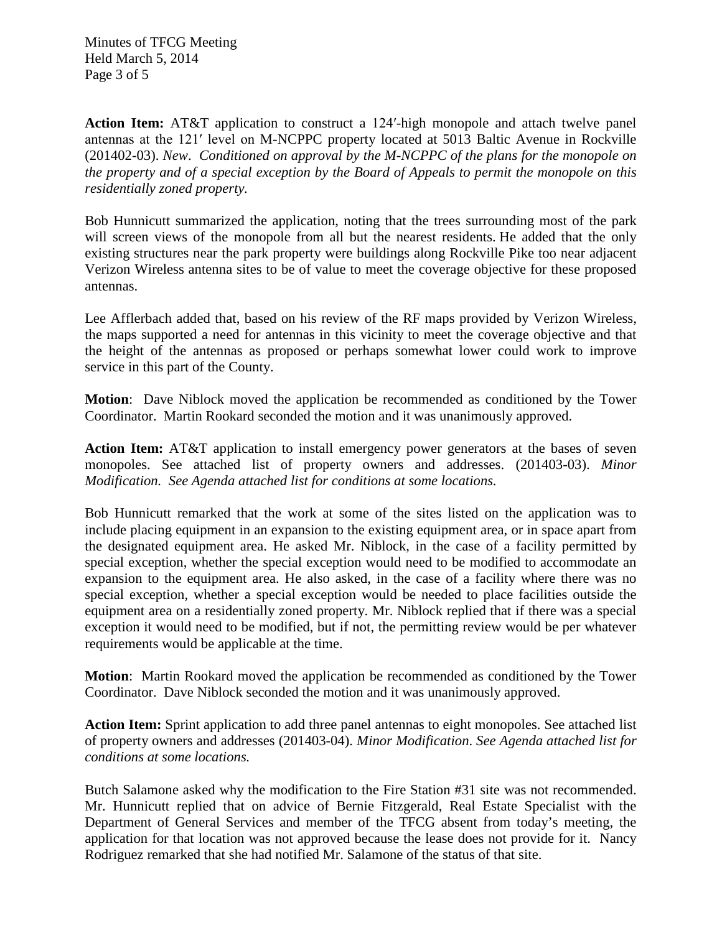Minutes of TFCG Meeting Held March 5, 2014 Page 3 of 5

**Action Item:** AT&T application to construct a 124ʹ-high monopole and attach twelve panel antennas at the 121ʹ level on M-NCPPC property located at 5013 Baltic Avenue in Rockville (201402-03). *New*. *Conditioned on approval by the M-NCPPC of the plans for the monopole on the property and of a special exception by the Board of Appeals to permit the monopole on this residentially zoned property.*

Bob Hunnicutt summarized the application, noting that the trees surrounding most of the park will screen views of the monopole from all but the nearest residents. He added that the only existing structures near the park property were buildings along Rockville Pike too near adjacent Verizon Wireless antenna sites to be of value to meet the coverage objective for these proposed antennas.

Lee Afflerbach added that, based on his review of the RF maps provided by Verizon Wireless, the maps supported a need for antennas in this vicinity to meet the coverage objective and that the height of the antennas as proposed or perhaps somewhat lower could work to improve service in this part of the County.

**Motion**: Dave Niblock moved the application be recommended as conditioned by the Tower Coordinator. Martin Rookard seconded the motion and it was unanimously approved.

**Action Item:** AT&T application to install emergency power generators at the bases of seven monopoles. See attached list of property owners and addresses. (201403-03). *Minor Modification. See Agenda attached list for conditions at some locations.*

Bob Hunnicutt remarked that the work at some of the sites listed on the application was to include placing equipment in an expansion to the existing equipment area, or in space apart from the designated equipment area. He asked Mr. Niblock, in the case of a facility permitted by special exception, whether the special exception would need to be modified to accommodate an expansion to the equipment area. He also asked, in the case of a facility where there was no special exception, whether a special exception would be needed to place facilities outside the equipment area on a residentially zoned property. Mr. Niblock replied that if there was a special exception it would need to be modified, but if not, the permitting review would be per whatever requirements would be applicable at the time.

**Motion**: Martin Rookard moved the application be recommended as conditioned by the Tower Coordinator. Dave Niblock seconded the motion and it was unanimously approved.

**Action Item:** Sprint application to add three panel antennas to eight monopoles. See attached list of property owners and addresses (201403-04). *Minor Modification*. *See Agenda attached list for conditions at some locations.*

Butch Salamone asked why the modification to the Fire Station #31 site was not recommended. Mr. Hunnicutt replied that on advice of Bernie Fitzgerald, Real Estate Specialist with the Department of General Services and member of the TFCG absent from today's meeting, the application for that location was not approved because the lease does not provide for it. Nancy Rodriguez remarked that she had notified Mr. Salamone of the status of that site.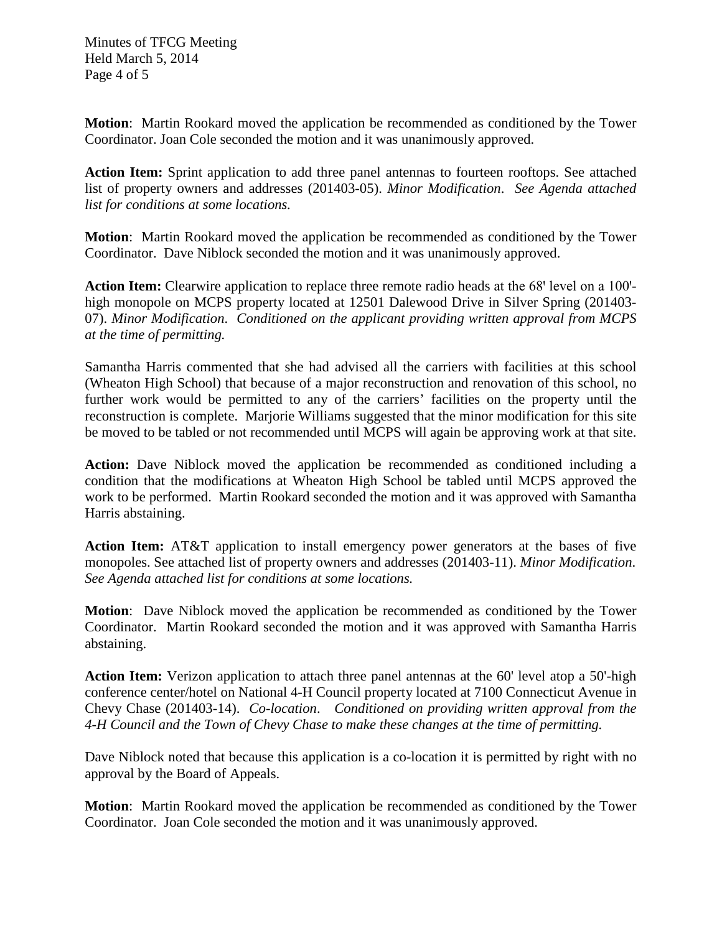Minutes of TFCG Meeting Held March 5, 2014 Page 4 of 5

**Motion**: Martin Rookard moved the application be recommended as conditioned by the Tower Coordinator. Joan Cole seconded the motion and it was unanimously approved.

**Action Item:** Sprint application to add three panel antennas to fourteen rooftops. See attached list of property owners and addresses (201403-05). *Minor Modification*. *See Agenda attached list for conditions at some locations.*

**Motion**: Martin Rookard moved the application be recommended as conditioned by the Tower Coordinator. Dave Niblock seconded the motion and it was unanimously approved.

**Action Item:** Clearwire application to replace three remote radio heads at the 68' level on a 100'high monopole on MCPS property located at 12501 Dalewood Drive in Silver Spring (201403- 07). *Minor Modification*. *Conditioned on the applicant providing written approval from MCPS at the time of permitting.*

Samantha Harris commented that she had advised all the carriers with facilities at this school (Wheaton High School) that because of a major reconstruction and renovation of this school, no further work would be permitted to any of the carriers' facilities on the property until the reconstruction is complete. Marjorie Williams suggested that the minor modification for this site be moved to be tabled or not recommended until MCPS will again be approving work at that site.

**Action:** Dave Niblock moved the application be recommended as conditioned including a condition that the modifications at Wheaton High School be tabled until MCPS approved the work to be performed. Martin Rookard seconded the motion and it was approved with Samantha Harris abstaining.

**Action Item:** AT&T application to install emergency power generators at the bases of five monopoles. See attached list of property owners and addresses (201403-11). *Minor Modification*. *See Agenda attached list for conditions at some locations.*

**Motion**: Dave Niblock moved the application be recommended as conditioned by the Tower Coordinator. Martin Rookard seconded the motion and it was approved with Samantha Harris abstaining.

**Action Item:** Verizon application to attach three panel antennas at the 60' level atop a 50'-high conference center/hotel on National 4-H Council property located at 7100 Connecticut Avenue in Chevy Chase (201403-14). *Co-location*. *Conditioned on providing written approval from the 4-H Council and the Town of Chevy Chase to make these changes at the time of permitting.*

Dave Niblock noted that because this application is a co-location it is permitted by right with no approval by the Board of Appeals.

**Motion**: Martin Rookard moved the application be recommended as conditioned by the Tower Coordinator. Joan Cole seconded the motion and it was unanimously approved.